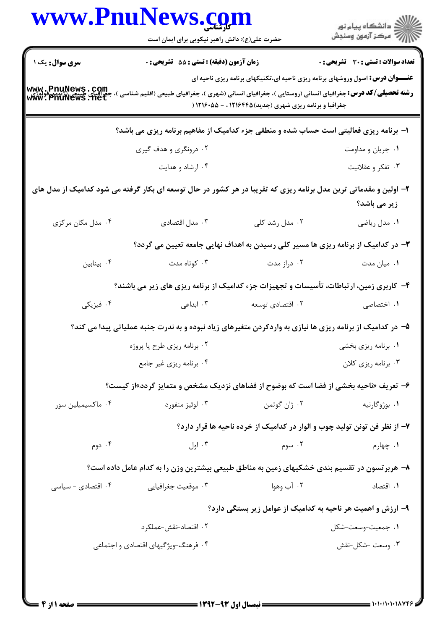| <b>سری سوال :</b> یک ۱                                                                                           | حضرت علی(ع): دانش راهبر نیکویی برای ایمان است<br>زمان آزمون (دقیقه) : تستی : 55 آتشریحی : 0<br>۱- برنامه ریزی فعالیتی است حساب شده و منطقی جزء کدامیک از مفاهیم برنامه ریزی می باشد؟ | <b>عنـــوان درس:</b> اصول وروشهای برنامه ریزی ناحیه ای،تکنیکهای برنامه ریزی ناحیه ای<br><b>رشته تحصیلی/کد درس:</b> جغرافیای انسانی (روستایی )، جغرافیای انسانی (شهری )، جغرافیای طبیعی (اقلیم شناسی )،<br>جغرافیا و برنامه ریزی شهری (جدید) ۱۲۱۶۴۴۵ ، - ۱۲۱۶۰۵۵ ( | تعداد سوالات : تستى : 30 ٪ تشريحي : 0 |
|------------------------------------------------------------------------------------------------------------------|--------------------------------------------------------------------------------------------------------------------------------------------------------------------------------------|-------------------------------------------------------------------------------------------------------------------------------------------------------------------------------------------------------------------------------------------------------------------|---------------------------------------|
|                                                                                                                  |                                                                                                                                                                                      |                                                                                                                                                                                                                                                                   |                                       |
| www.PnuNews.com<br>جَّذِ آَيْنِي طَيِّبَعِ بِشَيْنِ بِمَعْنِ بِمَعْنِ<br>www.PnuNews.net                         |                                                                                                                                                                                      |                                                                                                                                                                                                                                                                   |                                       |
|                                                                                                                  |                                                                                                                                                                                      |                                                                                                                                                                                                                                                                   |                                       |
|                                                                                                                  |                                                                                                                                                                                      |                                                                                                                                                                                                                                                                   |                                       |
|                                                                                                                  | ۰۲ درونگری و هدف گیری                                                                                                                                                                |                                                                                                                                                                                                                                                                   | ٠١ جريان و مداومت                     |
|                                                                                                                  | ۰۴ ارشاد و هدایت                                                                                                                                                                     |                                                                                                                                                                                                                                                                   | ۰۳ تفکر و عقلانیت                     |
| ۲- اولین و مقدماتی ترین مدل برنامه ریزی که تقریبا در هر کشور در حال توسعه ای بکار گرفته می شود کدامیک از مدل های |                                                                                                                                                                                      |                                                                                                                                                                                                                                                                   | زیر می باشد؟                          |
| ۰۴ مدل مکان مرکزی                                                                                                | ۰۳ مدل اقتصادی                                                                                                                                                                       | ۰۲ مدل رشد کلی                                                                                                                                                                                                                                                    | ۰۱ مدل ریاضی                          |
|                                                                                                                  |                                                                                                                                                                                      | ۳- در کدامیک از برنامه ریزی ها مسیر کلی رسیدن به اهداف نهایی جامعه تعیین می گردد؟                                                                                                                                                                                 |                                       |
| ۰۴ بينابين                                                                                                       | ۰۳ کوتاه مدت                                                                                                                                                                         | ۰۲ دراز مدت                                                                                                                                                                                                                                                       | ۰۱ میان مدت                           |
|                                                                                                                  |                                                                                                                                                                                      | ۴- کاربری زمین، ارتباطات، تأسیسات و تجهیزات جزء کدامیک از برنامه ریزی های زیر می باشند؟                                                                                                                                                                           |                                       |
| ۰۴ فیزیکی                                                                                                        |                                                                                                                                                                                      | ۰۲ اقتصادی توسعه $\cdot$ ۳۰ ابداعی                                                                                                                                                                                                                                | ۰۱ اختصاصی                            |
|                                                                                                                  |                                                                                                                                                                                      | ۵– در کدامیک از برنامه ریزی ها نیازی به واردکردن متغیرهای زیاد نبوده و به ندرت جنبه عملیاتی پیدا می کند؟                                                                                                                                                          |                                       |
|                                                                                                                  | ۰۲ برنامه ریزی طرح یا پروژه                                                                                                                                                          |                                                                                                                                                                                                                                                                   | ۰۱ برنامه ریزی بخشی                   |
|                                                                                                                  | ۰۴ برنامه ریزی غیر جامع                                                                                                                                                              |                                                                                                                                                                                                                                                                   | ۰۳ برنامه ریزی کلان                   |
|                                                                                                                  |                                                                                                                                                                                      | ۶- تعریف «ناحیه بخشی از فضا است که بوضوح از فضاهای نزدیک مشخص و متمایز گردد»از کیست؟                                                                                                                                                                              |                                       |
| ۰۴ ماكسيميلين سور                                                                                                | ۰۳ لوئيز منفورد                                                                                                                                                                      | ۰۲ ژان گوتمن                                                                                                                                                                                                                                                      | ۰۱ بوژوگارنيه                         |
|                                                                                                                  |                                                                                                                                                                                      | ۷– از نظر فن تونن تولید چوب و الوار در کدامیک از خرده ناحیه ها قرار دارد؟                                                                                                                                                                                         |                                       |
| ۰۴ دوم                                                                                                           | ۰۳ اول                                                                                                                                                                               | ۰۲ سوم                                                                                                                                                                                                                                                            | ۰۱ چهارم                              |
|                                                                                                                  |                                                                                                                                                                                      | ۸– هربرتسون در تقسیم بندی خشکیهای زمین به مناطق طبیعی بیشترین وزن را به کدام عامل داده است؟                                                                                                                                                                       |                                       |
| ۰۴ اقتصادی - سیاسی                                                                                               | ۰۳ موقعیت جغرافیایی                                                                                                                                                                  | ۰۲ آب وهوا                                                                                                                                                                                                                                                        | ٠١. اقتصاد                            |
|                                                                                                                  |                                                                                                                                                                                      | ۹- ارزش و اهمیت هر ناحیه به کدامیک از عوامل زیر بستگی دارد؟                                                                                                                                                                                                       |                                       |
|                                                                                                                  | ۰۲ اقتصاد-نقش-عملکرد                                                                                                                                                                 |                                                                                                                                                                                                                                                                   | ۰۱ جمعیت-وسعت-شکل                     |
|                                                                                                                  | ۰۴ فرهنگ-ویژگیهای اقتصادی و اجتماعی                                                                                                                                                  |                                                                                                                                                                                                                                                                   | ۰۳ وسعت -شکل-نقش                      |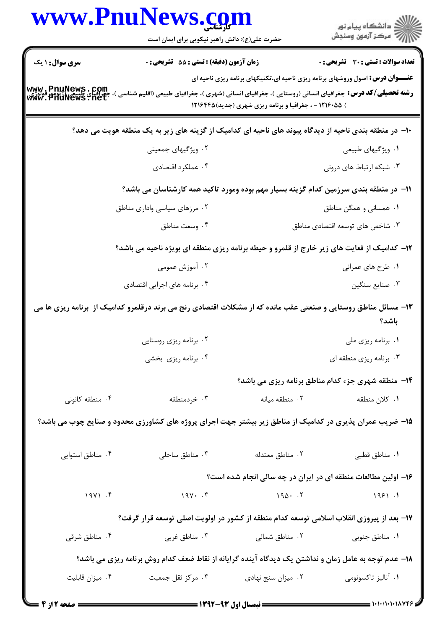|                                                            | www.PnuNews.com<br>حضرت علی(ع): دانش راهبر نیکویی برای ایمان است                                                |                                                        | ر دانشگاه پيام نور<br>دانشگاه پيام نور                                               |
|------------------------------------------------------------|-----------------------------------------------------------------------------------------------------------------|--------------------------------------------------------|--------------------------------------------------------------------------------------|
| <b>سری سوال :</b> ۱ یک                                     | زمان آزمون (دقیقه) : تستی : 55 آتشریحی : 0                                                                      |                                                        | <b>تعداد سوالات : تستی : 30 ٪ تشریحی : 0</b>                                         |
| www.PnuNews.com<br>جغرافیای طبیع ارتژیم<br>www.PnuNews.net | <b>رشته تحصیلی/کد درس:</b> جغرافیای انسانی (روستایی )، جغرافیای انسانی (شهری )، جغرافیای طبیعی (اقلیم شناسی     | ) ۱۲۱۶۰۵۵ - ، جغرافیا و برنامه ریزی شهری (جدید)۱۲۱۶۴۴۵ | <b>عنـــوان درس:</b> اصول وروشهای برنامه ریزی ناحیه ای،تکنیکهای برنامه ریزی ناحیه ای |
|                                                            | ∙ا− در منطقه بندی ناحیه از دیدگاه پیوند های ناحیه ای کدامیک از گزینه های زیر به یک منطقه هویت می دهد؟           |                                                        |                                                                                      |
|                                                            | ۰۲ ویژگیهای جمعیتی                                                                                              |                                                        | ١. ويژگيهاي طبيعي                                                                    |
|                                                            | ۰۴ عملکرد اقتصادی                                                                                               |                                                        | ۰۳ شبکه ارتباط های درونی                                                             |
|                                                            | اا– در منطقه بندی سرزمین کدام گزینه بسیار مهم بوده ومورد تاکید همه کارشناسان می باشد؟                           |                                                        |                                                                                      |
|                                                            | ۰۲ مرزهای سیاسی واداری مناطق                                                                                    |                                                        | ۰۱ همسانی و همگن مناطق                                                               |
|                                                            | ۰۴ وسعت مناطق                                                                                                   |                                                        | ۰۳ شاخص های توسعه اقتصادی مناطق                                                      |
|                                                            | ۱۲- کدامیک از فعایت های زیر خارج از قلمرو و حیطه برنامه ریزی منطقه ای بویژه ناحیه می باشد؟                      |                                                        |                                                                                      |
|                                                            | ۰۲ آموزش عمومی                                                                                                  |                                                        | ۰۱ طرح های عمرانی                                                                    |
|                                                            | ۰۴ برنامه های اجرایی اقتصادی                                                                                    |                                                        | ۰۳ صنايع سنگين                                                                       |
|                                                            | ۱۳- مسائل مناطق روستایی و صنعتی عقب مانده که از مشکلات اقتصادی رنج می برند درقلمرو کدامیک از  برنامه ریزی ها می |                                                        | باشد؟                                                                                |
|                                                            | ۰۲ برنامه ریزی روستایی                                                                                          |                                                        | ۰۱ برنامه ریزی ملی                                                                   |
|                                                            | ۰۴ برنامه ریزی بخشی                                                                                             |                                                        | ۰۳ برنامه ریزی منطقه ای                                                              |
|                                                            |                                                                                                                 |                                                        | 14- منطقه شهری جزء کدام مناطق برنامه ریزی می باشد؟                                   |
| ۰۴ منطقه کانونی                                            | ۰۳ خردمنطقه                                                                                                     | ۲. منطقه میانه                                         | ۰۱ کلان منطقه                                                                        |
|                                                            | 1۵- ضریب عمران پذیری در کدامیک از مناطق زیر بیشتر جهت اجرای پروژه های کشاورزی محدود و صنایع چوب می باشد؟        |                                                        |                                                                                      |
| ۰۴ مناطق استوایی                                           | ۰۳ مناطق ساحلی                                                                                                  | ۰۲ مناطق معتدله                                        | ٠١. مناطق قطبي                                                                       |
|                                                            |                                                                                                                 |                                                        | ۱۶– اولین مطالعات منطقه ای در ایران در چه سالی انجام شده است؟                        |
| 19Y1.5                                                     | $190 \cdot 5$                                                                                                   |                                                        | 1951.1                                                                               |
|                                                            | ۱۷– بعد از پیروزی انقلاب اسلامی توسعه کدام منطقه از کشور در اولویت اصلی توسعه قرار گرفت؟                        |                                                        |                                                                                      |
| ۰۴ مناطق شرقی                                              | ۰۳ مناطق غربی                                                                                                   | ۰۲ مناطق شمالی                                         | ۰۱ مناطق جنوبی                                                                       |
|                                                            | ۱۸– عدم توجه به عامل زمان و نداشتن یک دیدگاه آینده گرایانه از نقاط ضعف کدام روش برنامه ریزی می باشد؟            |                                                        |                                                                                      |
| ۰۴ میزان قابلیت                                            | ۰۳ مرکز ثقل جمعیت                                                                                               | ۰۲ میزان سنج نهادی                                     | ۰۱ آنالیز تاکسونومی                                                                  |
| ــــ صفحه 2 از 4                                           |                                                                                                                 |                                                        |                                                                                      |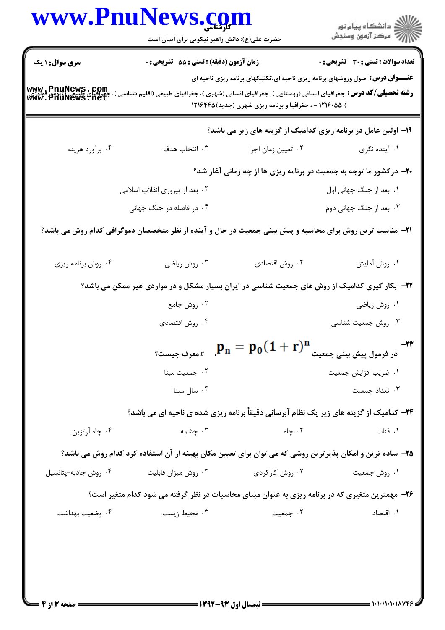|                                                                                                      | www.PnuNews.com<br>حضرت علی(ع): دانش راهبر نیکویی برای ایمان است                                                                                          |                                                                                                | ِ<br>∭ دانشڪاه پيام نور<br>∭ مرڪز آزمون وسنڊش |
|------------------------------------------------------------------------------------------------------|-----------------------------------------------------------------------------------------------------------------------------------------------------------|------------------------------------------------------------------------------------------------|-----------------------------------------------|
| <b>سری سوال : ۱ یک</b><br>www.PnuNews.com<br>جَّذِرافَياًى طِبْيَةٍ الْمَرْيَّةِ<br> www.PnuNews.net | زمان آزمون (دقیقه) : تستی : 55 آتشریحی : 0<br><b>رشته تحصیلی/کد درس:</b> جغرافیای انسانی (روستایی )، جغرافیای انسانی (شهری )، جغرافیای طبیعی (اقلیم شناسی | <b>عنـــوان درس:</b> اصول وروشهای برنامه ریزی ناحیه ای،تکنیکهای برنامه ریزی ناحیه ای           | <b>تعداد سوالات : تستی : 30 ٪ تشریحی : 0</b>  |
|                                                                                                      |                                                                                                                                                           | ) ۱۲۱۶۰۵۵ - ، جغرافیا و برنامه ریزی شهری (جدید) ۱۲۱۶۴۴۵                                        |                                               |
|                                                                                                      |                                                                                                                                                           | ۱۹- اولین عامل در برنامه ریزی کدامیک از گزینه های زیر می باشد؟                                 |                                               |
| ۰۴ برآورد هزينه                                                                                      | ۰۳ انتخاب هدف                                                                                                                                             | ۰۲ تعيين زمان اجرا                                                                             | ۰۱ آینده نگری                                 |
|                                                                                                      |                                                                                                                                                           | <b>۲۰</b> - درکشور ما توجه به جمعیت در برنامه ریزی ها از چه زمانی آغاز شد؟                     |                                               |
|                                                                                                      | ۰۲ بعد از پیروزی انقلاب اسلامی                                                                                                                            |                                                                                                | ٠١. بعد از جنگ جهانی اول                      |
|                                                                                                      | ۰۴ در فاصله دو جنگ جهانی                                                                                                                                  |                                                                                                | ۰۳ بعد از جنگ جهانی دوم                       |
|                                                                                                      | <b>۲۱</b> – مناسب ترین روش برای محاسبه و پیش بینی جمعیت در حال و آینده از نظر متخصصان دموگرافی کدام روش می باشد؟                                          |                                                                                                |                                               |
| ۰۴ روش برنامه ريزي                                                                                   | ۰۳ روش ریاضی                                                                                                                                              | ۰۲ روش اقتصادي                                                                                 | ١. روش أمايش                                  |
|                                                                                                      | ۲۲- بکار گیری کدامیک از روش های جمعیت شناسی در ایران بسیار مشکل و در مواردی غیر ممکن می باشد؟                                                             |                                                                                                |                                               |
|                                                                                                      | ۰۲ روش جامع                                                                                                                                               |                                                                                                | ۰۱ روش ریاضی                                  |
|                                                                                                      | ۰۴ روش اقتصادي                                                                                                                                            |                                                                                                | ۰۳ روش جمعیت شناسی                            |
|                                                                                                      |                                                                                                                                                           | $\mathbf{p_{n}} = \mathbf{p_{0}}(\mathbf{1} + \mathbf{r})^{\mathbf{n}}$ معرف چیست $\mathbf{r}$ | در فرمول پیش بینی جمعیت                       |
|                                                                                                      | ٠٢ جمعيت مبنا                                                                                                                                             |                                                                                                | ٠١. ضريب افزايش جمعيت                         |
|                                                                                                      | ۰۴ سال مبنا                                                                                                                                               |                                                                                                | ۰۳ تعداد جمعیت                                |
|                                                                                                      | <b>۲۴</b> - کدامیک از گزینه های زیر یک نظام آبرسانی دقیقاً برنامه ریزی شده ی ناحیه ای می باشد؟                                                            |                                                                                                |                                               |
| ۰۴ چاه آرتزین                                                                                        | ۰۳ چشمه                                                                                                                                                   | ۰۲ چاه                                                                                         | ٠١ قنات                                       |
|                                                                                                      | ۲۵– ساده ترین و امکان پذیرترین روشی که می توان برای تعیین مکان بهینه از آن استفاده کرد کدام روش می باشد؟                                                  |                                                                                                |                                               |
| ۰۴ روش جاذبه-پتانسیل                                                                                 | ۰۳ روش میزان قابلیت                                                                                                                                       | ۰۲ روش کارکردی                                                                                 | ۰۱ روش جمعیت                                  |
|                                                                                                      | ۲۶- مهمترین متغیری که در برنامه ریزی به عنوان مبنای محاسبات در نظر گرفته می شود کدام متغیر است؟                                                           |                                                                                                |                                               |
|                                                                                                      |                                                                                                                                                           | ۰۲ جمعیت                                                                                       | ۰۱ اقتصاد                                     |